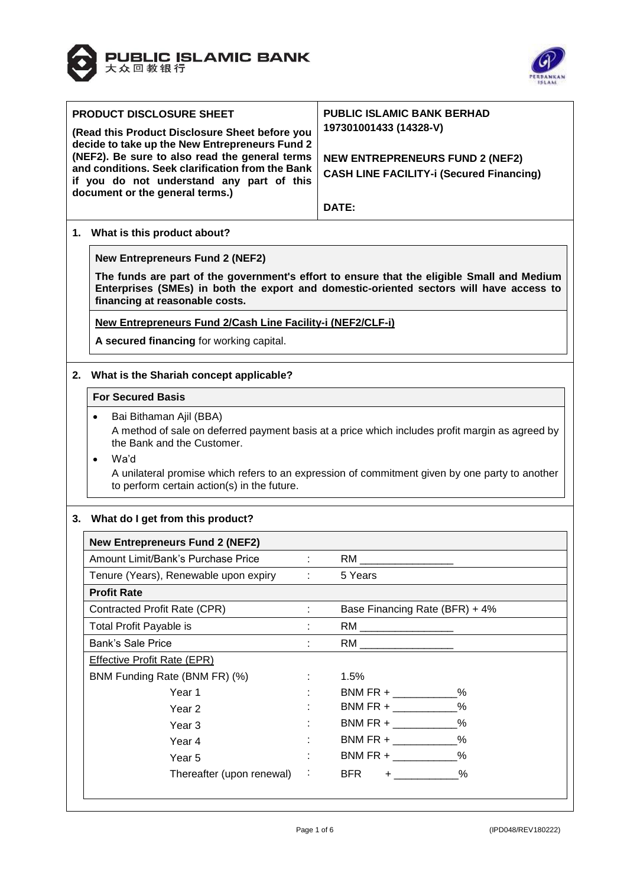



| <b>PRODUCT DISCLOSURE SHEET</b>                                                                                                                                                                                         | <b>PUBLIC ISLAMIC BANK BERHAD</b><br>197301001433 (14328-V)                                     |  |  |  |  |  |  |
|-------------------------------------------------------------------------------------------------------------------------------------------------------------------------------------------------------------------------|-------------------------------------------------------------------------------------------------|--|--|--|--|--|--|
| (Read this Product Disclosure Sheet before you<br>decide to take up the New Entrepreneurs Fund 2                                                                                                                        |                                                                                                 |  |  |  |  |  |  |
| (NEF2). Be sure to also read the general terms                                                                                                                                                                          | <b>NEW ENTREPRENEURS FUND 2 (NEF2)</b>                                                          |  |  |  |  |  |  |
| and conditions. Seek clarification from the Bank                                                                                                                                                                        | <b>CASH LINE FACILITY-i (Secured Financing)</b>                                                 |  |  |  |  |  |  |
| if you do not understand any part of this<br>document or the general terms.)                                                                                                                                            |                                                                                                 |  |  |  |  |  |  |
|                                                                                                                                                                                                                         | DATE:                                                                                           |  |  |  |  |  |  |
| 1. What is this product about?                                                                                                                                                                                          |                                                                                                 |  |  |  |  |  |  |
| <b>New Entrepreneurs Fund 2 (NEF2)</b>                                                                                                                                                                                  |                                                                                                 |  |  |  |  |  |  |
| The funds are part of the government's effort to ensure that the eligible Small and Medium<br>Enterprises (SMEs) in both the export and domestic-oriented sectors will have access to<br>financing at reasonable costs. |                                                                                                 |  |  |  |  |  |  |
| New Entrepreneurs Fund 2/Cash Line Facility-i (NEF2/CLF-i)                                                                                                                                                              |                                                                                                 |  |  |  |  |  |  |
| A secured financing for working capital.                                                                                                                                                                                |                                                                                                 |  |  |  |  |  |  |
|                                                                                                                                                                                                                         |                                                                                                 |  |  |  |  |  |  |
| 2. What is the Shariah concept applicable?                                                                                                                                                                              |                                                                                                 |  |  |  |  |  |  |
| <b>For Secured Basis</b>                                                                                                                                                                                                |                                                                                                 |  |  |  |  |  |  |
| Bai Bithaman Ajil (BBA)<br>$\bullet$                                                                                                                                                                                    |                                                                                                 |  |  |  |  |  |  |
|                                                                                                                                                                                                                         | A method of sale on deferred payment basis at a price which includes profit margin as agreed by |  |  |  |  |  |  |
| the Bank and the Customer.                                                                                                                                                                                              |                                                                                                 |  |  |  |  |  |  |
| Wa'd<br>$\bullet$                                                                                                                                                                                                       | A unilateral promise which refers to an expression of commitment given by one party to another  |  |  |  |  |  |  |
| to perform certain action(s) in the future.                                                                                                                                                                             |                                                                                                 |  |  |  |  |  |  |
|                                                                                                                                                                                                                         |                                                                                                 |  |  |  |  |  |  |
| 3. What do I get from this product?                                                                                                                                                                                     |                                                                                                 |  |  |  |  |  |  |
| <b>New Entrepreneurs Fund 2 (NEF2)</b>                                                                                                                                                                                  |                                                                                                 |  |  |  |  |  |  |
| Amount Limit/Bank's Purchase Price                                                                                                                                                                                      | RM L                                                                                            |  |  |  |  |  |  |
| Tenure (Years), Renewable upon expiry<br>$\mathbb{R}^n$                                                                                                                                                                 | 5 Years                                                                                         |  |  |  |  |  |  |
| <b>Profit Rate</b>                                                                                                                                                                                                      |                                                                                                 |  |  |  |  |  |  |
| Contracted Profit Rate (CPR)<br>t.                                                                                                                                                                                      | Base Financing Rate (BFR) + 4%                                                                  |  |  |  |  |  |  |
| <b>Total Profit Payable is</b>                                                                                                                                                                                          |                                                                                                 |  |  |  |  |  |  |
| <b>Bank's Sale Price</b>                                                                                                                                                                                                |                                                                                                 |  |  |  |  |  |  |
| Effective Profit Rate (EPR)                                                                                                                                                                                             |                                                                                                 |  |  |  |  |  |  |
| BNM Funding Rate (BNM FR) (%)                                                                                                                                                                                           | 1.5%                                                                                            |  |  |  |  |  |  |
| Year 1                                                                                                                                                                                                                  | BNM FR + ____________%                                                                          |  |  |  |  |  |  |
| Year <sub>2</sub>                                                                                                                                                                                                       | $\frac{0}{0}$<br>BNM FR + $\frac{1}{2}$                                                         |  |  |  |  |  |  |
| Year <sub>3</sub>                                                                                                                                                                                                       | BNM FR + $\_\_\_\_\_\_\_$ %                                                                     |  |  |  |  |  |  |
| Year 4                                                                                                                                                                                                                  | BNM FR + ____________%                                                                          |  |  |  |  |  |  |
| Year 5                                                                                                                                                                                                                  | BNM FR + $\_$                                                                                   |  |  |  |  |  |  |
| Thereafter (upon renewal)<br>÷                                                                                                                                                                                          | $+$ $\frac{9}{6}$<br><b>BFR</b>                                                                 |  |  |  |  |  |  |
|                                                                                                                                                                                                                         |                                                                                                 |  |  |  |  |  |  |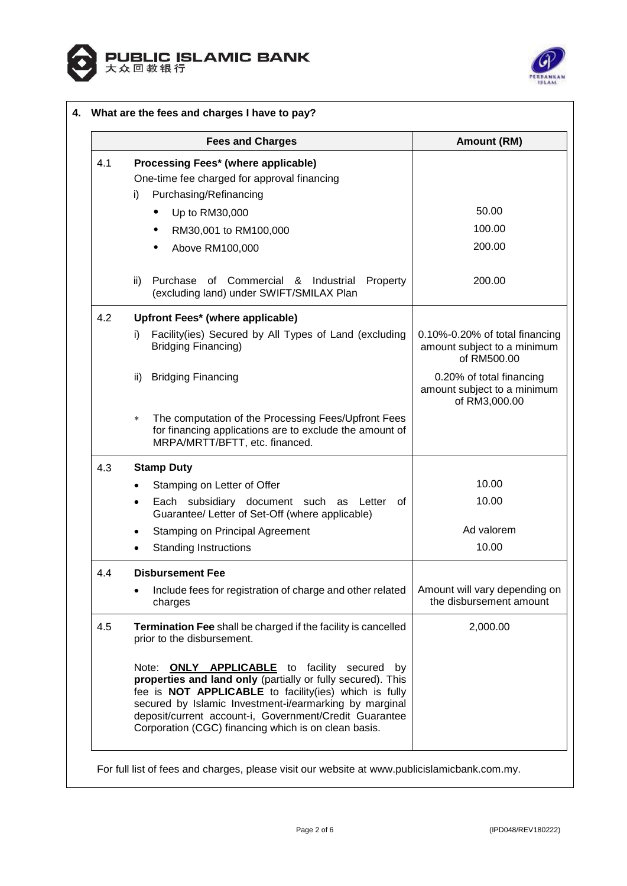



|     | <b>Fees and Charges</b>                                                                                                                                                                                                                                                                                                                                    | Amount (RM)                                                                  |
|-----|------------------------------------------------------------------------------------------------------------------------------------------------------------------------------------------------------------------------------------------------------------------------------------------------------------------------------------------------------------|------------------------------------------------------------------------------|
| 4.1 | Processing Fees* (where applicable)                                                                                                                                                                                                                                                                                                                        |                                                                              |
|     | One-time fee charged for approval financing                                                                                                                                                                                                                                                                                                                |                                                                              |
|     | Purchasing/Refinancing<br>i)                                                                                                                                                                                                                                                                                                                               |                                                                              |
|     | Up to RM30,000<br>٠                                                                                                                                                                                                                                                                                                                                        | 50.00                                                                        |
|     | RM30,001 to RM100,000                                                                                                                                                                                                                                                                                                                                      | 100.00                                                                       |
|     | Above RM100,000                                                                                                                                                                                                                                                                                                                                            | 200.00                                                                       |
|     | Purchase of Commercial & Industrial<br>Property<br>ii)<br>(excluding land) under SWIFT/SMILAX Plan                                                                                                                                                                                                                                                         | 200.00                                                                       |
| 4.2 | Upfront Fees* (where applicable)                                                                                                                                                                                                                                                                                                                           |                                                                              |
|     | Facility(ies) Secured by All Types of Land (excluding<br>i)<br><b>Bridging Financing)</b>                                                                                                                                                                                                                                                                  | 0.10%-0.20% of total financing<br>amount subject to a minimum<br>of RM500.00 |
|     | <b>Bridging Financing</b><br>ii)                                                                                                                                                                                                                                                                                                                           | 0.20% of total financing<br>amount subject to a minimum<br>of RM3,000.00     |
|     | The computation of the Processing Fees/Upfront Fees<br>$\ast$<br>for financing applications are to exclude the amount of<br>MRPA/MRTT/BFTT, etc. financed.                                                                                                                                                                                                 |                                                                              |
| 4.3 | <b>Stamp Duty</b>                                                                                                                                                                                                                                                                                                                                          |                                                                              |
|     | Stamping on Letter of Offer                                                                                                                                                                                                                                                                                                                                | 10.00                                                                        |
|     | Each subsidiary document such as Letter<br>0f<br>$\bullet$<br>Guarantee/ Letter of Set-Off (where applicable)                                                                                                                                                                                                                                              | 10.00                                                                        |
|     | <b>Stamping on Principal Agreement</b>                                                                                                                                                                                                                                                                                                                     | Ad valorem                                                                   |
|     | <b>Standing Instructions</b>                                                                                                                                                                                                                                                                                                                               | 10.00                                                                        |
| 4.4 | <b>Disbursement Fee</b>                                                                                                                                                                                                                                                                                                                                    |                                                                              |
|     | Include fees for registration of charge and other related<br>$\bullet$<br>charges                                                                                                                                                                                                                                                                          | Amount will vary depending on<br>the disbursement amount                     |
| 4.5 | Termination Fee shall be charged if the facility is cancelled<br>prior to the disbursement.                                                                                                                                                                                                                                                                | 2,000.00                                                                     |
|     | Note: <b>ONLY APPLICABLE</b> to facility secured<br>by<br>properties and land only (partially or fully secured). This<br>fee is NOT APPLICABLE to facility(ies) which is fully<br>secured by Islamic Investment-i/earmarking by marginal<br>deposit/current account-i, Government/Credit Guarantee<br>Corporation (CGC) financing which is on clean basis. |                                                                              |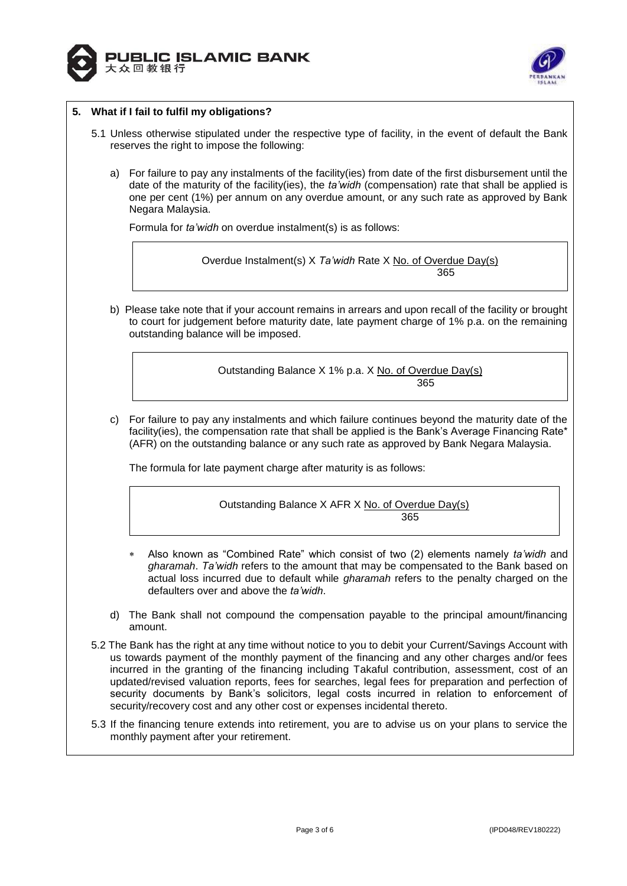



# **5. What if I fail to fulfil my obligations?**

- 5.1 Unless otherwise stipulated under the respective type of facility, in the event of default the Bank reserves the right to impose the following:
	- a) For failure to pay any instalments of the facility(ies) from date of the first disbursement until the date of the maturity of the facility(ies), the *ta'widh* (compensation) rate that shall be applied is one per cent (1%) per annum on any overdue amount, or any such rate as approved by Bank Negara Malaysia.

Formula for *ta'widh* on overdue instalment(s) is as follows:

Overdue Instalment(s) X *Ta'widh* Rate X No. of Overdue Day(s) 365

b) Please take note that if your account remains in arrears and upon recall of the facility or brought to court for judgement before maturity date, late payment charge of 1% p.a. on the remaining outstanding balance will be imposed.

> Outstanding Balance X 1% p.a. X No. of Overdue Day(s) 365

c) For failure to pay any instalments and which failure continues beyond the maturity date of the facility(ies), the compensation rate that shall be applied is the Bank's Average Financing Rate\* (AFR) on the outstanding balance or any such rate as approved by Bank Negara Malaysia.

The formula for late payment charge after maturity is as follows:

Outstanding Balance X AFR X No. of Overdue Day(s) <u>365 - 1992 - 1993 - 1993 - 1993 - 1994 - 1995 - 1996 - 1997 - 1998 - 1999 - 1999 - 1999 - 1999 - 1999 - 1999 </u>

- Also known as "Combined Rate" which consist of two (2) elements namely *ta'widh* and *gharamah*. *Ta'widh* refers to the amount that may be compensated to the Bank based on actual loss incurred due to default while *gharamah* refers to the penalty charged on the defaulters over and above the *ta'widh*.
- d) The Bank shall not compound the compensation payable to the principal amount/financing amount.
- 5.2 The Bank has the right at any time without notice to you to debit your Current/Savings Account with us towards payment of the monthly payment of the financing and any other charges and/or fees incurred in the granting of the financing including Takaful contribution, assessment, cost of an updated/revised valuation reports, fees for searches, legal fees for preparation and perfection of security documents by Bank's solicitors, legal costs incurred in relation to enforcement of security/recovery cost and any other cost or expenses incidental thereto.
- 5.3 If the financing tenure extends into retirement, you are to advise us on your plans to service the monthly payment after your retirement.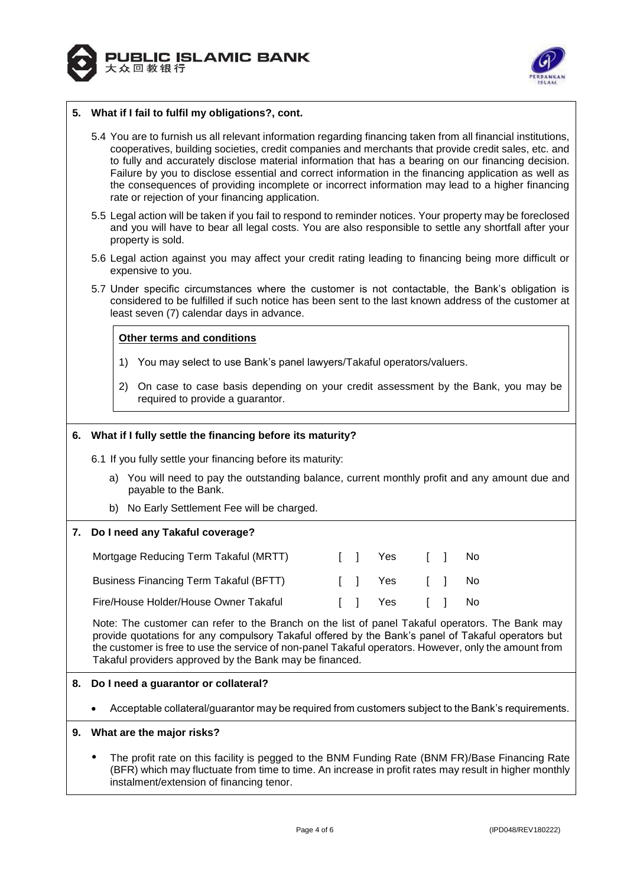



### **5. What if I fail to fulfil my obligations?, cont.**

- 5.4 You are to furnish us all relevant information regarding financing taken from all financial institutions, cooperatives, building societies, credit companies and merchants that provide credit sales, etc. and to fully and accurately disclose material information that has a bearing on our financing decision. Failure by you to disclose essential and correct information in the financing application as well as the consequences of providing incomplete or incorrect information may lead to a higher financing rate or rejection of your financing application.
- 5.5 Legal action will be taken if you fail to respond to reminder notices. Your property may be foreclosed and you will have to bear all legal costs. You are also responsible to settle any shortfall after your property is sold.
- 5.6 Legal action against you may affect your credit rating leading to financing being more difficult or expensive to you.
- 5.7 Under specific circumstances where the customer is not contactable, the Bank's obligation is considered to be fulfilled if such notice has been sent to the last known address of the customer at least seven (7) calendar days in advance.

### **Other terms and conditions**

- 1) You may select to use Bank's panel lawyers/Takaful operators/valuers.
- 2) On case to case basis depending on your credit assessment by the Bank, you may be required to provide a guarantor.

### **6. What if I fully settle the financing before its maturity?**

6.1 If you fully settle your financing before its maturity:

- a) You will need to pay the outstanding balance, current monthly profit and any amount due and payable to the Bank.
- b) No Early Settlement Fee will be charged.

#### **7. Do I need any Takaful coverage?**

| Mortgage Reducing Term Takaful (MRTT)         |  | II Yes II      |  | No. |
|-----------------------------------------------|--|----------------|--|-----|
| <b>Business Financing Term Takaful (BFTT)</b> |  | II Yes II No   |  |     |
| Fire/House Holder/House Owner Takaful         |  | [ ] Yes [ ] No |  |     |

Note: The customer can refer to the Branch on the list of panel Takaful operators. The Bank may provide quotations for any compulsory Takaful offered by the Bank's panel of Takaful operators but the customer is free to use the service of non-panel Takaful operators. However, only the amount from Takaful providers approved by the Bank may be financed.

### **8. Do I need a guarantor or collateral?**

Acceptable collateral/guarantor may be required from customers subject to the Bank's requirements.

#### **9. What are the major risks?**

 The profit rate on this facility is pegged to the BNM Funding Rate (BNM FR)/Base Financing Rate (BFR) which may fluctuate from time to time. An increase in profit rates may result in higher monthly instalment/extension of financing tenor.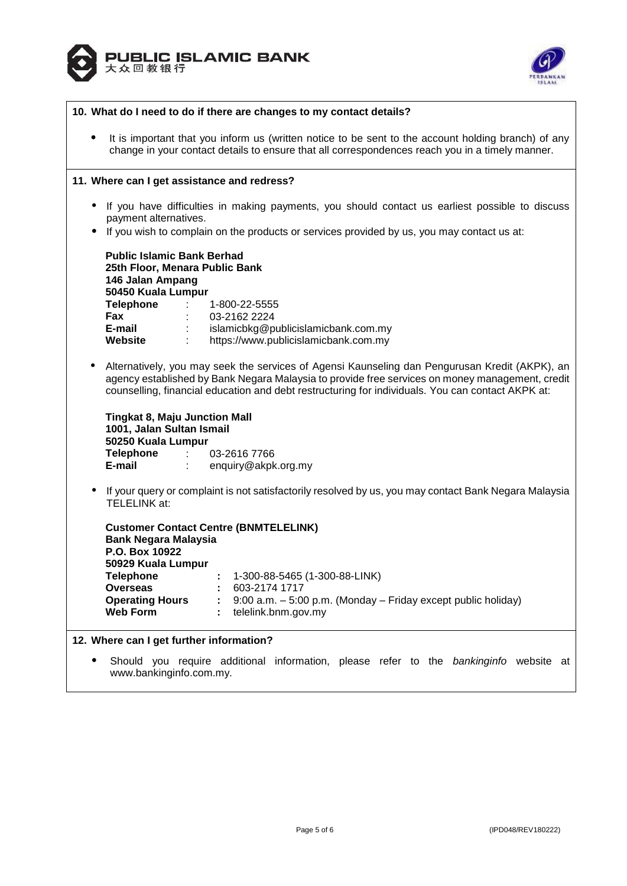



| 10. What do I need to do if there are changes to my contact details? |                                                                                                                                                                                                                                                                                                                                                   |  |  |
|----------------------------------------------------------------------|---------------------------------------------------------------------------------------------------------------------------------------------------------------------------------------------------------------------------------------------------------------------------------------------------------------------------------------------------|--|--|
| ٠                                                                    | It is important that you inform us (written notice to be sent to the account holding branch) of any<br>change in your contact details to ensure that all correspondences reach you in a timely manner.                                                                                                                                            |  |  |
|                                                                      | 11. Where can I get assistance and redress?                                                                                                                                                                                                                                                                                                       |  |  |
| ٠                                                                    | If you have difficulties in making payments, you should contact us earliest possible to discuss<br>payment alternatives.                                                                                                                                                                                                                          |  |  |
|                                                                      | If you wish to complain on the products or services provided by us, you may contact us at:                                                                                                                                                                                                                                                        |  |  |
|                                                                      | <b>Public Islamic Bank Berhad</b><br>25th Floor, Menara Public Bank<br>146 Jalan Ampang<br>50450 Kuala Lumpur<br><b>Telephone :</b><br>1-800-22-5555<br>Fax<br>03-2162 2224<br>E-mail<br>$\mathbb{S}^{n\times n}$<br>islamicbkg@publicislamicbank.com.my<br>Website<br>https://www.publicislamicbank.com.my                                       |  |  |
|                                                                      | Alternatively, you may seek the services of Agensi Kaunseling dan Pengurusan Kredit (AKPK), an<br>agency established by Bank Negara Malaysia to provide free services on money management, credit<br>counselling, financial education and debt restructuring for individuals. You can contact AKPK at:                                            |  |  |
|                                                                      | <b>Tingkat 8, Maju Junction Mall</b><br>1001, Jalan Sultan Ismail<br>50250 Kuala Lumpur<br>Telephone : 03-2616 7766<br>E-mail<br>enquiry@akpk.org.my<br>$\mathcal{L}^{\text{max}}$                                                                                                                                                                |  |  |
| $\bullet$                                                            | If your query or complaint is not satisfactorily resolved by us, you may contact Bank Negara Malaysia<br>TELELINK at:                                                                                                                                                                                                                             |  |  |
|                                                                      | <b>Customer Contact Centre (BNMTELELINK)</b><br><b>Bank Negara Malaysia</b><br>P.O. Box 10922<br>50929 Kuala Lumpur<br>1-300-88-5465 (1-300-88-LINK)<br><b>Telephone</b><br>603-2174 1717<br><b>Overseas</b><br><b>Operating Hours</b><br>9:00 a.m. - 5:00 p.m. (Monday - Friday except public holiday)<br><b>Web Form</b><br>telelink.bnm.gov.my |  |  |
|                                                                      | 12. Where can I get further information?<br>Should you require additional information, please refer to the bankinginfo website at<br>www.bankinginfo.com.my.                                                                                                                                                                                      |  |  |